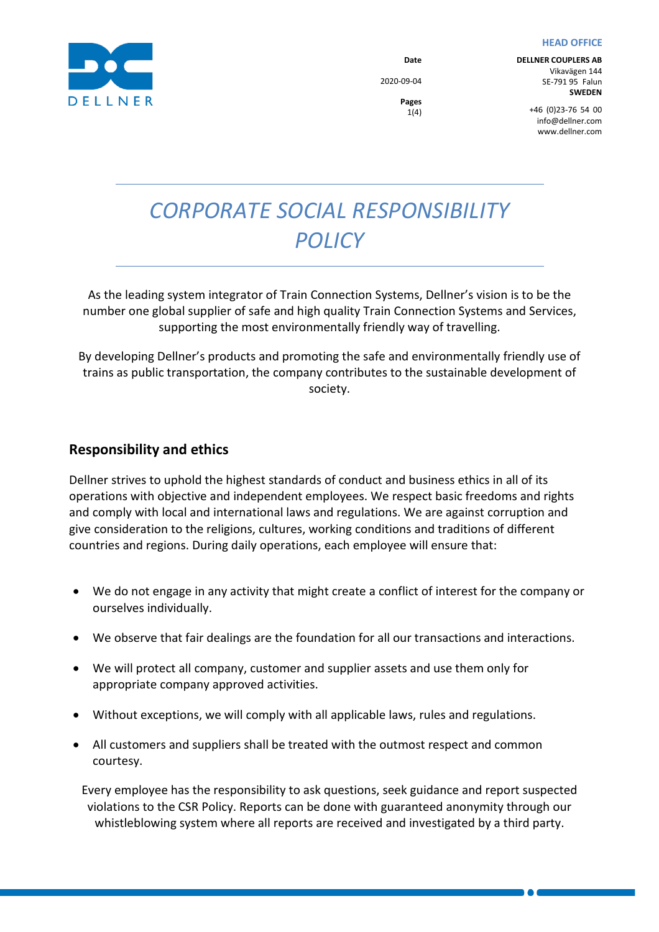#### **HEAD OFFICE**



**Date** 2020-09-04 **DELLNER COUPLERS AB** Vikavägen 144 SE-791 95 Falun **SWEDEN**

**Pages** 1(4)

+46  (0)23-76  54  00 info@dellner.com www.dellner.com

# *CORPORATE SOCIAL RESPONSIBILITY POLICY*

As the leading system integrator of Train Connection Systems, Dellner's vision is to be the number one global supplier of safe and high quality Train Connection Systems and Services, supporting the most environmentally friendly way of travelling.

By developing Dellner's products and promoting the safe and environmentally friendly use of trains as public transportation, the company contributes to the sustainable development of society.

## **Responsibility and ethics**

Dellner strives to uphold the highest standards of conduct and business ethics in all of its operations with objective and independent employees. We respect basic freedoms and rights and comply with local and international laws and regulations. We are against corruption and give consideration to the religions, cultures, working conditions and traditions of different countries and regions. During daily operations, each employee will ensure that:

- We do not engage in any activity that might create a conflict of interest for the company or ourselves individually.
- We observe that fair dealings are the foundation for all our transactions and interactions.
- We will protect all company, customer and supplier assets and use them only for appropriate company approved activities.
- Without exceptions, we will comply with all applicable laws, rules and regulations.
- All customers and suppliers shall be treated with the outmost respect and common courtesy.

Every employee has the responsibility to ask questions, seek guidance and report suspected violations to the CSR Policy. Reports can be done with guaranteed anonymity through our whistleblowing system where all reports are received and investigated by a third party.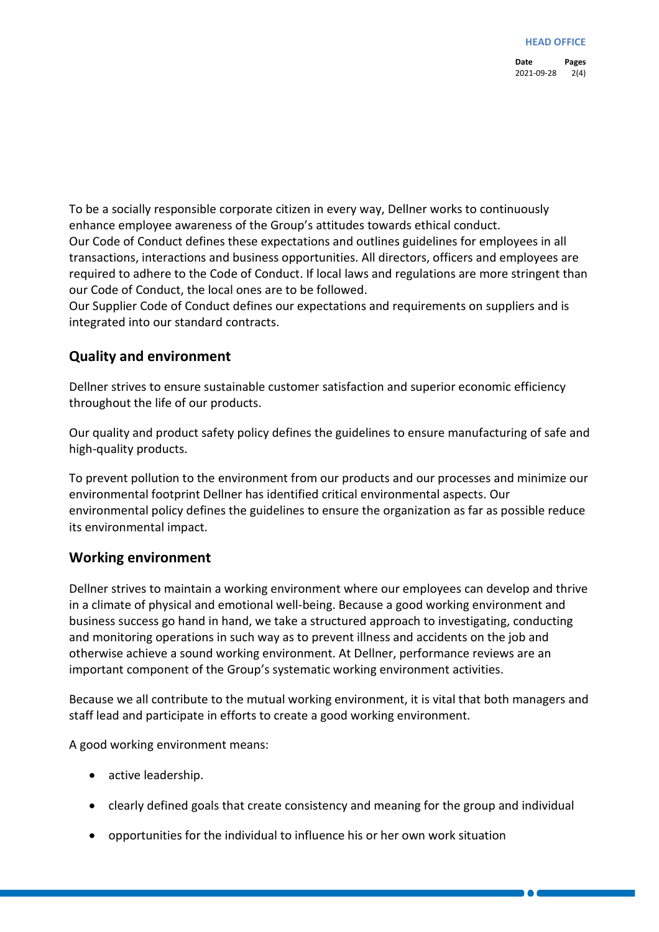**Date Pages** 2021-09-28 2(4)

To be a socially responsible corporate citizen in every way, Dellner works to continuously enhance employee awareness of the Group's attitudes towards ethical conduct. Our Code of Conduct defines these expectations and outlines guidelines for employees in all transactions, interactions and business opportunities. All directors, officers and employees are required to adhere to the Code of Conduct. If local laws and regulations are more stringent than our Code of Conduct, the local ones are to be followed.

Our Supplier Code of Conduct defines our expectations and requirements on suppliers and is integrated into our standard contracts.

### **Quality and environment**

Dellner strives to ensure sustainable customer satisfaction and superior economic efficiency throughout the life of our products.

Our quality and product safety policy defines the guidelines to ensure manufacturing of safe and high-quality products.

To prevent pollution to the environment from our products and our processes and minimize our environmental footprint Dellner has identified critical environmental aspects. Our environmental policy defines the guidelines to ensure the organization as far as possible reduce its environmental impact.

#### **Working environment**

Dellner strives to maintain a working environment where our employees can develop and thrive in a climate of physical and emotional well-being. Because a good working environment and business success go hand in hand, we take a structured approach to investigating, conducting and monitoring operations in such way as to prevent illness and accidents on the job and otherwise achieve a sound working environment. At Dellner, performance reviews are an important component of the Group's systematic working environment activities.

Because we all contribute to the mutual working environment, it is vital that both managers and staff lead and participate in efforts to create a good working environment.

A good working environment means:

- active leadership.
- clearly defined goals that create consistency and meaning for the group and individual
- opportunities for the individual to influence his or her own work situation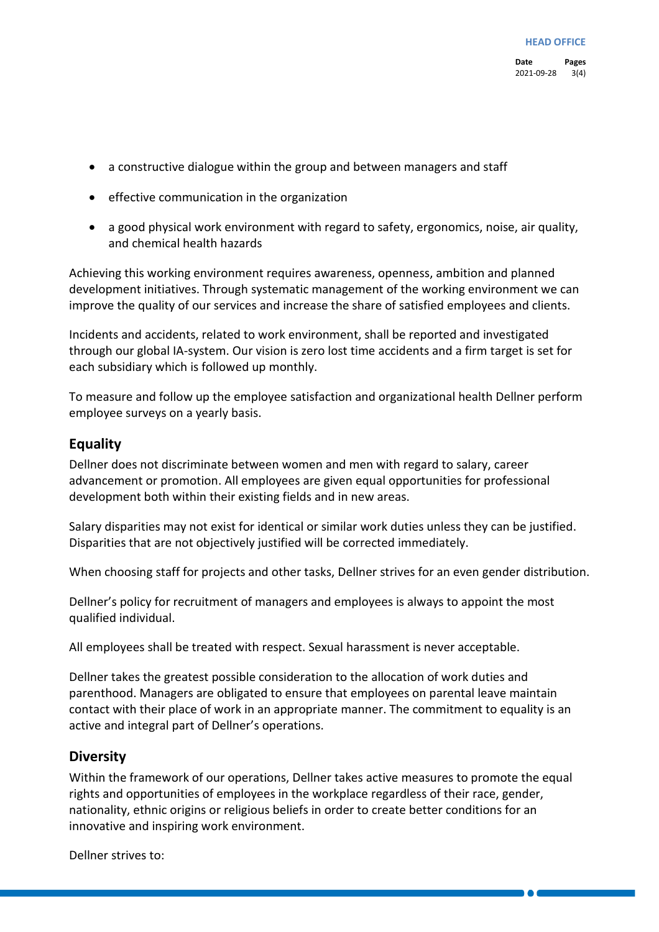- a constructive dialogue within the group and between managers and staff
- effective communication in the organization
- a good physical work environment with regard to safety, ergonomics, noise, air quality, and chemical health hazards

Achieving this working environment requires awareness, openness, ambition and planned development initiatives. Through systematic management of the working environment we can improve the quality of our services and increase the share of satisfied employees and clients.

Incidents and accidents, related to work environment, shall be reported and investigated through our global IA-system. Our vision is zero lost time accidents and a firm target is set for each subsidiary which is followed up monthly.

To measure and follow up the employee satisfaction and organizational health Dellner perform employee surveys on a yearly basis.

#### **Equality**

Dellner does not discriminate between women and men with regard to salary, career advancement or promotion. All employees are given equal opportunities for professional development both within their existing fields and in new areas.

Salary disparities may not exist for identical or similar work duties unless they can be justified. Disparities that are not objectively justified will be corrected immediately.

When choosing staff for projects and other tasks, Dellner strives for an even gender distribution.

Dellner's policy for recruitment of managers and employees is always to appoint the most qualified individual.

All employees shall be treated with respect. Sexual harassment is never acceptable.

Dellner takes the greatest possible consideration to the allocation of work duties and parenthood. Managers are obligated to ensure that employees on parental leave maintain contact with their place of work in an appropriate manner. The commitment to equality is an active and integral part of Dellner's operations.

#### **Diversity**

Within the framework of our operations, Dellner takes active measures to promote the equal rights and opportunities of employees in the workplace regardless of their race, gender, nationality, ethnic origins or religious beliefs in order to create better conditions for an innovative and inspiring work environment.

Dellner strives to: